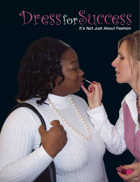## Dressfor Success

It's Not Just About Fashion

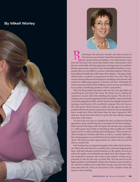## By Mikell Worley





Ruth Koup is the advocate, founder, and chief executive of<br>Dress for Success of South Central Pennsylvania for reasons  $\Omega$  that extend well beyond fashion. The initial benefit comes from the increased self-esteem that female clients demonstrate when they are comfortable with their appearance during an interview and have had the opportunity to practice interviewing skills beforehand. Consequently, they are more likely to convince a potential employer of the professionalism and skills they will bring to the workplace. The agency helps clients build a wardrobe in preparation for their new jobs. Then the women attend professional-development workshops and network with numerous collaborating agencies. It doesn't end there. Ultimately the women pass these skills to their children, who in turn are more likely to be successful, contributing members of their communities.

When the Koup family relocated to this area five years ago, Ruth was considering the next step in her career. Her dream was to combine her experience in social work with something she enjoyed. The idea of developing a not-for-profit organization that would fill a critical need in the community appealed to Ruth, and she became increasingly interested in opening a local branch of the worldwide company Dress for Success. Not only has her dream become a reality, but the agency has also expanded well beyond anyone's expectations. Dress for Success anticipated that it would serve 500 to 600 clients from the time it opened in 2007 until now. By the time this article is in print, the store will have dressed more than 1,500 women.

"It took nearly two years to complete the start-up efforts to find the appropriate space and develop the connections for the first boutique," Ruth reported. She began with 750 square feet and has since expanded to a 3,000 square-foot facility in Harrisburg with an additional 13,000 square feet for an office, meeting, and training space. There are also two other boutiques in Lebanon and York, as well as a recently added mobile suiting program in a truck that has been transformed into a rolling closet. The latter provides opportunities for clients who do not live close to current sites.

Each boutique has an elegant atmosphere that makes clients feel special. When they enter the store or mobile unit, a personal shopper greets them. Staff and volunteers pride themselves on the quality of service as well as the quality of merchandise provided. Each client begins with a suit, donated by someone who wants to give another woman an opportunity to take the first step to a better life. The suit must be of the highest quality, something that will give the recipient a sense of pride so she will feel confident and comfortable during a job interview. Ruth notes that when the clients see themselves in the complete outfit, the impact is often startling.